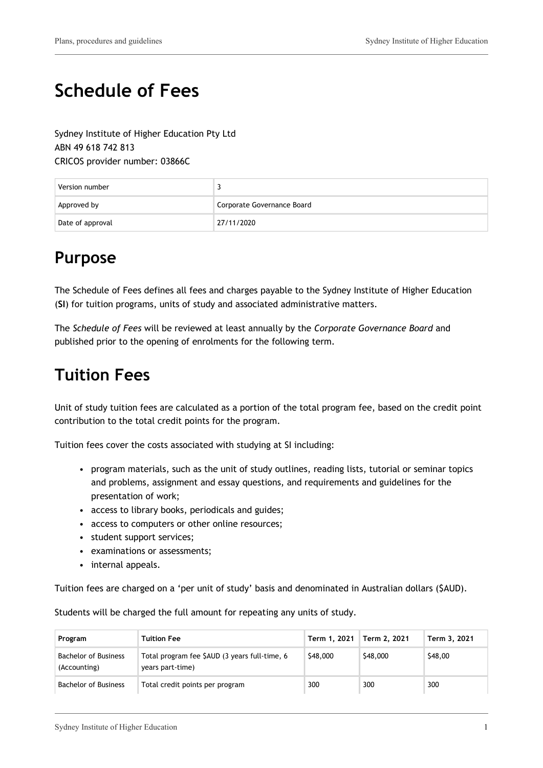# **Schedule of Fees**

Sydney Institute of Higher Education Pty Ltd ABN 49 618 742 813 CRICOS provider number: 03866C

| Version number   | J                          |
|------------------|----------------------------|
| Approved by      | Corporate Governance Board |
| Date of approval | 27/11/2020                 |

## **Purpose**

The Schedule of Fees defines all fees and charges payable to the Sydney Institute of Higher Education (**SI**) for tuition programs, units of study and associated administrative matters.

The *Schedule of Fees* will be reviewed at least annually by the *Corporate Governance Board* and published prior to the opening of enrolments for the following term.

# **Tuition Fees**

Unit of study tuition fees are calculated as a portion of the total program fee, based on the credit point contribution to the total credit points for the program.

Tuition fees cover the costs associated with studying at SI including:

- program materials, such as the unit of study outlines, reading lists, tutorial or seminar topics and problems, assignment and essay questions, and requirements and guidelines for the presentation of work;
- access to library books, periodicals and guides;
- access to computers or other online resources;
- student support services;
- examinations or assessments;
- internal appeals.

Tuition fees are charged on a 'per unit of study' basis and denominated in Australian dollars (\$AUD).

Students will be charged the full amount for repeating any units of study.

| Program                                     | <b>Tuition Fee</b>                                                | Term 1, 2021 | Term 2, 2021 | Term 3, 2021 |
|---------------------------------------------|-------------------------------------------------------------------|--------------|--------------|--------------|
| <b>Bachelor of Business</b><br>(Accounting) | Total program fee \$AUD (3 years full-time, 6<br>years part-time) | \$48,000     | \$48,000     | \$48,00      |
| <b>Bachelor of Business</b>                 | Total credit points per program                                   | 300          | 300          | 300          |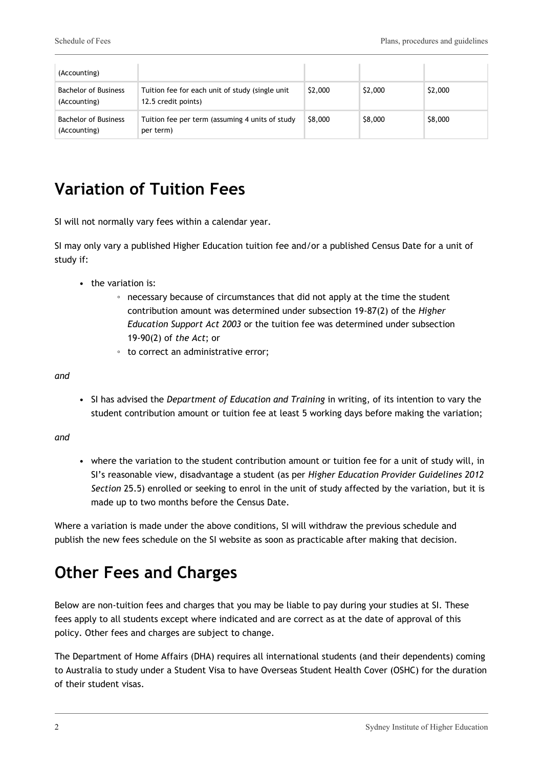| (Accounting)                                |                                                                        |         |         |         |
|---------------------------------------------|------------------------------------------------------------------------|---------|---------|---------|
| <b>Bachelor of Business</b><br>(Accounting) | Tuition fee for each unit of study (single unit<br>12.5 credit points) | \$2,000 | \$2,000 | \$2,000 |
| <b>Bachelor of Business</b><br>(Accounting) | Tuition fee per term (assuming 4 units of study<br>per term)           | \$8,000 | \$8,000 | \$8,000 |

# **Variation of Tuition Fees**

SI will not normally vary fees within a calendar year.

SI may only vary a published Higher Education tuition fee and/or a published Census Date for a unit of study if:

- the variation is:
	- necessary because of circumstances that did not apply at the time the student contribution amount was determined under subsection 19-87(2) of the *Higher Education Support Act 2003* or the tuition fee was determined under subsection 19-90(2) of *the Act*; or
	- to correct an administrative error;

*and*

• SI has advised the *Department of Education and Training* in writing, of its intention to vary the student contribution amount or tuition fee at least 5 working days before making the variation;

*and*

• where the variation to the student contribution amount or tuition fee for a unit of study will, in SI's reasonable view, disadvantage a student (as per *Higher Education Provider Guidelines 2012 Section* 25.5) enrolled or seeking to enrol in the unit of study affected by the variation, but it is made up to two months before the Census Date.

Where a variation is made under the above conditions, SI will withdraw the previous schedule and publish the new fees schedule on the SI website as soon as practicable after making that decision.

# **Other Fees and Charges**

Below are non-tuition fees and charges that you may be liable to pay during your studies at SI. These fees apply to all students except where indicated and are correct as at the date of approval of this policy. Other fees and charges are subject to change.

The Department of Home Affairs (DHA) requires all international students (and their dependents) coming to Australia to study under a Student Visa to have Overseas Student Health Cover (OSHC) for the duration of their student visas.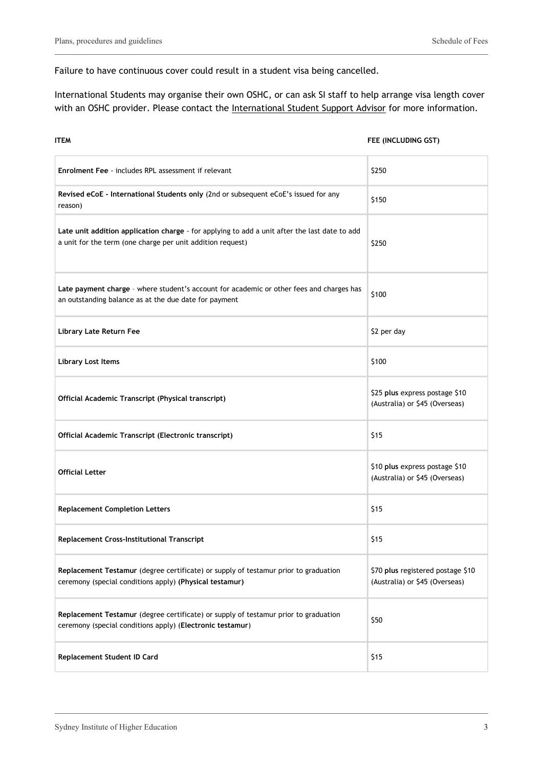Failure to have continuous cover could result in a student visa being cancelled.

International Students may organise their own OSHC, or can ask SI staff to help arrange visa length cover with an OSHC provider. Please contact the International Student Support Advisor for more information.

| <b>ITEM</b>                                                                                                                                                 | FEE (INCLUDING GST)                                                 |
|-------------------------------------------------------------------------------------------------------------------------------------------------------------|---------------------------------------------------------------------|
| <b>Enrolment Fee</b> - includes RPL assessment if relevant                                                                                                  | \$250                                                               |
| Revised eCoE - International Students only (2nd or subsequent eCoE's issued for any<br>reason)                                                              | \$150                                                               |
| Late unit addition application charge - for applying to add a unit after the last date to add<br>a unit for the term (one charge per unit addition request) | \$250                                                               |
| Late payment charge - where student's account for academic or other fees and charges has<br>an outstanding balance as at the due date for payment           | \$100                                                               |
| Library Late Return Fee                                                                                                                                     | \$2 per day                                                         |
| <b>Library Lost Items</b>                                                                                                                                   | \$100                                                               |
| Official Academic Transcript (Physical transcript)                                                                                                          | \$25 plus express postage \$10<br>(Australia) or \$45 (Overseas)    |
| Official Academic Transcript (Electronic transcript)                                                                                                        | \$15                                                                |
| <b>Official Letter</b>                                                                                                                                      | \$10 plus express postage \$10<br>(Australia) or \$45 (Overseas)    |
| <b>Replacement Completion Letters</b>                                                                                                                       | \$15                                                                |
| <b>Replacement Cross-Institutional Transcript</b>                                                                                                           | \$15                                                                |
| Replacement Testamur (degree certificate) or supply of testamur prior to graduation<br>ceremony (special conditions apply) (Physical testamur)              | \$70 plus registered postage \$10<br>(Australia) or \$45 (Overseas) |
| Replacement Testamur (degree certificate) or supply of testamur prior to graduation<br>ceremony (special conditions apply) (Electronic testamur)            | \$50                                                                |
| Replacement Student ID Card                                                                                                                                 | \$15                                                                |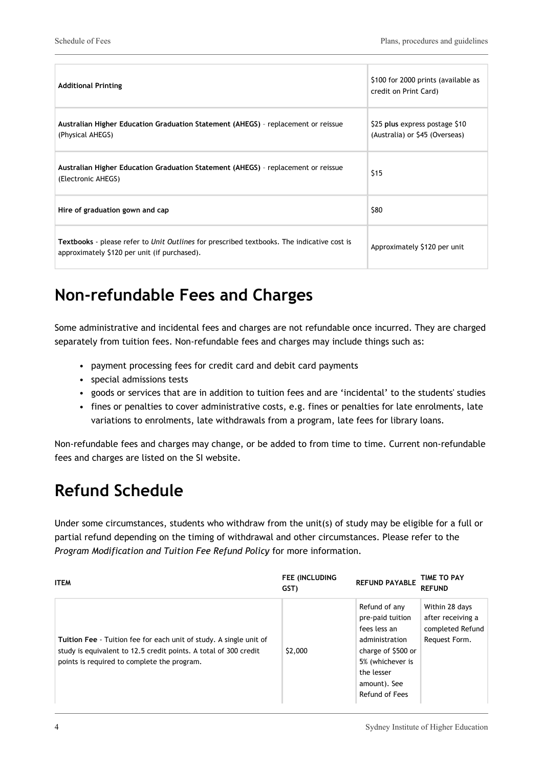| <b>Additional Printing</b>                                                                                                                        | \$100 for 2000 prints (available as<br>credit on Print Card)     |
|---------------------------------------------------------------------------------------------------------------------------------------------------|------------------------------------------------------------------|
| Australian Higher Education Graduation Statement (AHEGS) - replacement or reissue<br>(Physical AHEGS)                                             | \$25 plus express postage \$10<br>(Australia) or \$45 (Overseas) |
| Australian Higher Education Graduation Statement (AHEGS) - replacement or reissue<br>(Electronic AHEGS)                                           | \$15                                                             |
| Hire of graduation gown and cap                                                                                                                   | \$80                                                             |
| <b>Textbooks</b> - please refer to Unit Outlines for prescribed textbooks. The indicative cost is<br>approximately \$120 per unit (if purchased). | Approximately \$120 per unit                                     |

# **Non-refundable Fees and Charges**

Some administrative and incidental fees and charges are not refundable once incurred. They are charged separately from tuition fees. Non-refundable fees and charges may include things such as:

- payment processing fees for credit card and debit card payments
- special admissions tests
- goods or services that are in addition to tuition fees and are 'incidental' to the students' studies
- fines or penalties to cover administrative costs, e.g. fines or penalties for late enrolments, late variations to enrolments, late withdrawals from a program, late fees for library loans.

Non-refundable fees and charges may change, or be added to from time to time. Current non-refundable fees and charges are listed on the SI website.

# **Refund Schedule**

Under some circumstances, students who withdraw from the unit(s) of study may be eligible for a full or partial refund depending on the timing of withdrawal and other circumstances. Please refer to the *Program Modification and Tuition Fee Refund Policy* for more information.

| <b>ITEM</b>                                                                                                                                                                           | <b>FEE (INCLUDING</b><br>GST) | <b>REFUND PAYABLE</b>                                                                                                                                         | TIME TO PAY<br><b>REFUND</b>                                             |
|---------------------------------------------------------------------------------------------------------------------------------------------------------------------------------------|-------------------------------|---------------------------------------------------------------------------------------------------------------------------------------------------------------|--------------------------------------------------------------------------|
| Tuition Fee - Tuition fee for each unit of study. A single unit of<br>study is equivalent to 12.5 credit points. A total of 300 credit<br>points is required to complete the program. | \$2,000                       | Refund of any<br>pre-paid tuition<br>fees less an<br>administration<br>charge of \$500 or<br>5% (whichever is<br>the lesser<br>amount). See<br>Refund of Fees | Within 28 days<br>after receiving a<br>completed Refund<br>Request Form. |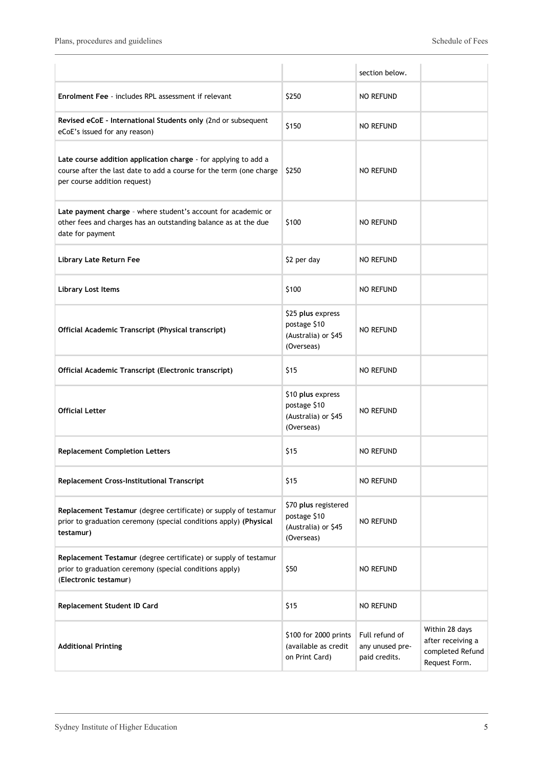|                                                                                                                                                                        |                                                                           | section below.                                     |                                                                          |
|------------------------------------------------------------------------------------------------------------------------------------------------------------------------|---------------------------------------------------------------------------|----------------------------------------------------|--------------------------------------------------------------------------|
| <b>Enrolment Fee</b> - includes RPL assessment if relevant                                                                                                             | \$250                                                                     | <b>NO REFUND</b>                                   |                                                                          |
| Revised eCoE - International Students only (2nd or subsequent<br>eCoE's issued for any reason)                                                                         | \$150                                                                     | <b>NO REFUND</b>                                   |                                                                          |
| Late course addition application charge - for applying to add a<br>course after the last date to add a course for the term (one charge<br>per course addition request) | \$250                                                                     | <b>NO REFUND</b>                                   |                                                                          |
| Late payment charge - where student's account for academic or<br>other fees and charges has an outstanding balance as at the due<br>date for payment                   | \$100                                                                     | <b>NO REFUND</b>                                   |                                                                          |
| Library Late Return Fee                                                                                                                                                | \$2 per day                                                               | <b>NO REFUND</b>                                   |                                                                          |
| <b>Library Lost Items</b>                                                                                                                                              | \$100                                                                     | <b>NO REFUND</b>                                   |                                                                          |
| Official Academic Transcript (Physical transcript)                                                                                                                     | \$25 plus express<br>postage \$10<br>(Australia) or \$45<br>(Overseas)    | <b>NO REFUND</b>                                   |                                                                          |
| Official Academic Transcript (Electronic transcript)                                                                                                                   | \$15                                                                      | <b>NO REFUND</b>                                   |                                                                          |
| <b>Official Letter</b>                                                                                                                                                 | \$10 plus express<br>postage \$10<br>(Australia) or \$45<br>(Overseas)    | <b>NO REFUND</b>                                   |                                                                          |
| <b>Replacement Completion Letters</b>                                                                                                                                  | \$15                                                                      | <b>NO REFUND</b>                                   |                                                                          |
| Replacement Cross-Institutional Transcript                                                                                                                             | \$15                                                                      | <b>NO REFUND</b>                                   |                                                                          |
| Replacement Testamur (degree certificate) or supply of testamur<br>prior to graduation ceremony (special conditions apply) (Physical<br>testamur)                      | \$70 plus registered<br>postage \$10<br>(Australia) or \$45<br>(Overseas) | <b>NO REFUND</b>                                   |                                                                          |
| Replacement Testamur (degree certificate) or supply of testamur<br>prior to graduation ceremony (special conditions apply)<br>(Electronic testamur)                    | \$50                                                                      | <b>NO REFUND</b>                                   |                                                                          |
| Replacement Student ID Card                                                                                                                                            | \$15                                                                      | <b>NO REFUND</b>                                   |                                                                          |
| <b>Additional Printing</b>                                                                                                                                             | \$100 for 2000 prints<br>(available as credit<br>on Print Card)           | Full refund of<br>any unused pre-<br>paid credits. | Within 28 days<br>after receiving a<br>completed Refund<br>Request Form. |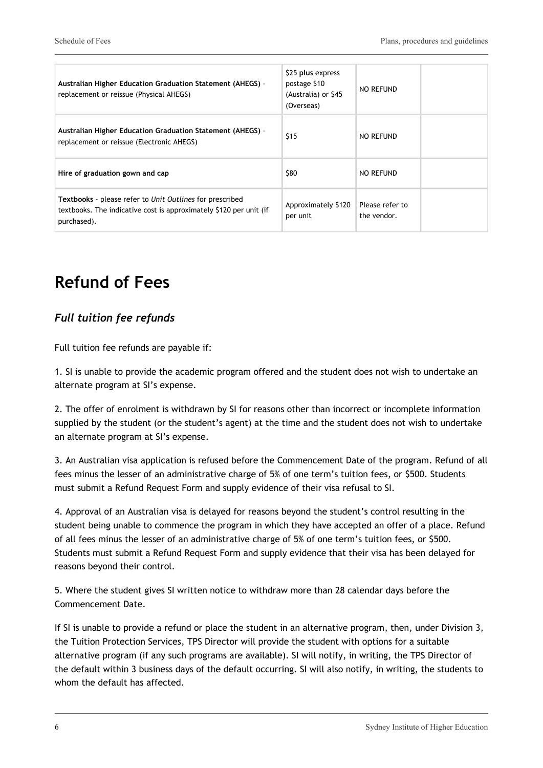| <b>Australian Higher Education Graduation Statement (AHEGS) -</b><br>replacement or reissue (Physical AHEGS)                                  | \$25 plus express<br>postage \$10<br>(Australia) or \$45<br>(Overseas) | NO REFUND                      |
|-----------------------------------------------------------------------------------------------------------------------------------------------|------------------------------------------------------------------------|--------------------------------|
| <b>Australian Higher Education Graduation Statement (AHEGS) -</b><br>replacement or reissue (Electronic AHEGS)                                | \$15                                                                   | NO REFUND                      |
| Hire of graduation gown and cap                                                                                                               | \$80                                                                   | NO REFUND                      |
| Textbooks - please refer to Unit Outlines for prescribed<br>textbooks. The indicative cost is approximately \$120 per unit (if<br>purchased). | Approximately \$120<br>per unit                                        | Please refer to<br>the vendor. |

# **Refund of Fees**

#### *Full tuition fee refunds*

Full tuition fee refunds are payable if:

1. SI is unable to provide the academic program offered and the student does not wish to undertake an alternate program at SI's expense.

2. The offer of enrolment is withdrawn by SI for reasons other than incorrect or incomplete information supplied by the student (or the student's agent) at the time and the student does not wish to undertake an alternate program at SI's expense.

3. An Australian visa application is refused before the Commencement Date of the program. Refund of all fees minus the lesser of an administrative charge of 5% of one term's tuition fees, or \$500. Students must submit a Refund Request Form and supply evidence of their visa refusal to SI.

4. Approval of an Australian visa is delayed for reasons beyond the student's control resulting in the student being unable to commence the program in which they have accepted an offer of a place. Refund of all fees minus the lesser of an administrative charge of 5% of one term's tuition fees, or \$500. Students must submit a Refund Request Form and supply evidence that their visa has been delayed for reasons beyond their control.

5. Where the student gives SI written notice to withdraw more than 28 calendar days before the Commencement Date.

If SI is unable to provide a refund or place the student in an alternative program, then, under Division 3, the Tuition Protection Services, TPS Director will provide the student with options for a suitable alternative program (if any such programs are available). SI will notify, in writing, the TPS Director of the default within 3 business days of the default occurring. SI will also notify, in writing, the students to whom the default has affected.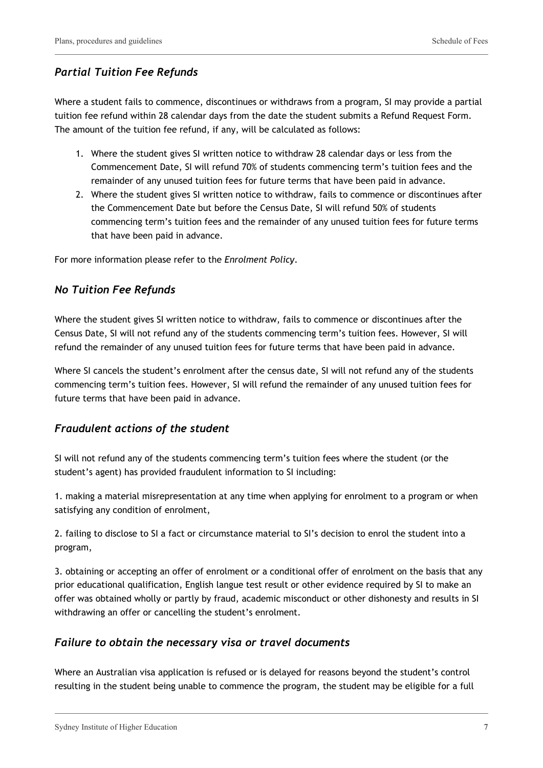#### *Partial Tuition Fee Refunds*

Where a student fails to commence, discontinues or withdraws from a program, SI may provide a partial tuition fee refund within 28 calendar days from the date the student submits a Refund Request Form. The amount of the tuition fee refund, if any, will be calculated as follows:

- 1. Where the student gives SI written notice to withdraw 28 calendar days or less from the Commencement Date, SI will refund 70% of students commencing term's tuition fees and the remainder of any unused tuition fees for future terms that have been paid in advance.
- 2. Where the student gives SI written notice to withdraw, fails to commence or discontinues after the Commencement Date but before the Census Date, SI will refund 50% of students commencing term's tuition fees and the remainder of any unused tuition fees for future terms that have been paid in advance.

For more information please refer to the *Enrolment Policy*.

#### *No Tuition Fee Refunds*

Where the student gives SI written notice to withdraw, fails to commence or discontinues after the Census Date, SI will not refund any of the students commencing term's tuition fees. However, SI will refund the remainder of any unused tuition fees for future terms that have been paid in advance.

Where SI cancels the student's enrolment after the census date, SI will not refund any of the students commencing term's tuition fees. However, SI will refund the remainder of any unused tuition fees for future terms that have been paid in advance.

#### *Fraudulent actions of the student*

SI will not refund any of the students commencing term's tuition fees where the student (or the student's agent) has provided fraudulent information to SI including:

1. making a material misrepresentation at any time when applying for enrolment to a program or when satisfying any condition of enrolment,

2. failing to disclose to SI a fact or circumstance material to SI's decision to enrol the student into a program,

3. obtaining or accepting an offer of enrolment or a conditional offer of enrolment on the basis that any prior educational qualification, English langue test result or other evidence required by SI to make an offer was obtained wholly or partly by fraud, academic misconduct or other dishonesty and results in SI withdrawing an offer or cancelling the student's enrolment.

#### *Failure to obtain the necessary visa or travel documents*

Where an Australian visa application is refused or is delayed for reasons beyond the student's control resulting in the student being unable to commence the program, the student may be eligible for a full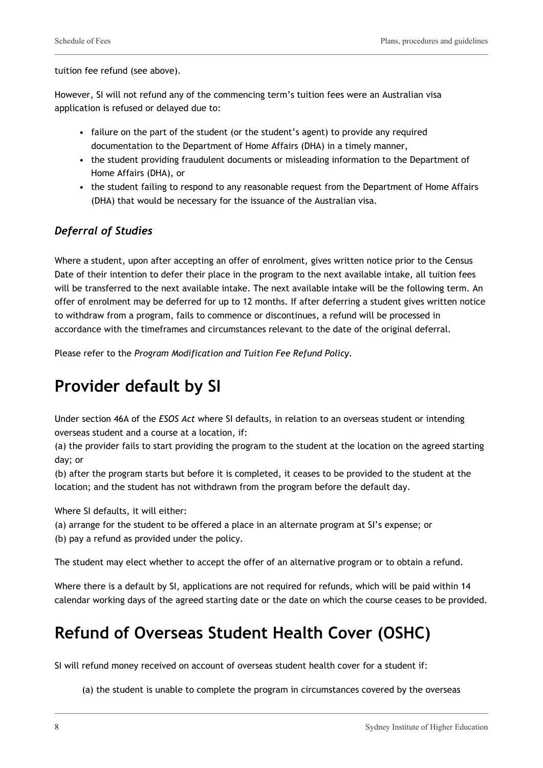tuition fee refund (see above).

However, SI will not refund any of the commencing term's tuition fees were an Australian visa application is refused or delayed due to:

- failure on the part of the student (or the student's agent) to provide any required documentation to the Department of Home Affairs (DHA) in a timely manner,
- the student providing fraudulent documents or misleading information to the Department of Home Affairs (DHA), or
- the student failing to respond to any reasonable request from the Department of Home Affairs (DHA) that would be necessary for the issuance of the Australian visa.

#### *Deferral of Studies*

Where a student, upon after accepting an offer of enrolment, gives written notice prior to the Census Date of their intention to defer their place in the program to the next available intake, all tuition fees will be transferred to the next available intake. The next available intake will be the following term. An offer of enrolment may be deferred for up to 12 months. If after deferring a student gives written notice to withdraw from a program, fails to commence or discontinues, a refund will be processed in accordance with the timeframes and circumstances relevant to the date of the original deferral.

Please refer to the *Program Modification and Tuition Fee Refund Policy.*

# **Provider default by SI**

Under section 46A of the *ESOS Act* where SI defaults, in relation to an overseas student or intending overseas student and a course at a location, if:

(a) the provider fails to start providing the program to the student at the location on the agreed starting day; or

(b) after the program starts but before it is completed, it ceases to be provided to the student at the location; and the student has not withdrawn from the program before the default day.

Where SI defaults, it will either:

- (a) arrange for the student to be offered a place in an alternate program at SI's expense; or
- (b) pay a refund as provided under the policy.

The student may elect whether to accept the offer of an alternative program or to obtain a refund.

Where there is a default by SI, applications are not required for refunds, which will be paid within 14 calendar working days of the agreed starting date or the date on which the course ceases to be provided.

## **Refund of Overseas Student Health Cover (OSHC)**

SI will refund money received on account of overseas student health cover for a student if:

(a) the student is unable to complete the program in circumstances covered by the overseas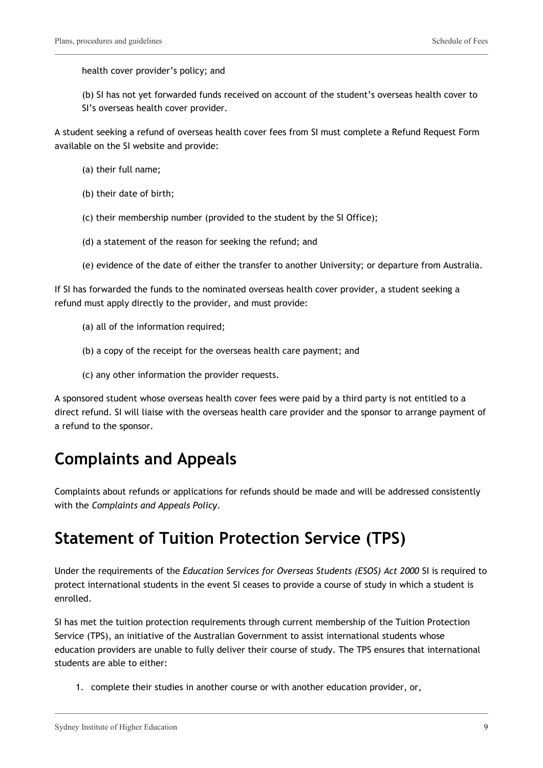health cover provider's policy; and

(b) SI has not yet forwarded funds received on account of the student's overseas health cover to SI's overseas health cover provider.

A student seeking a refund of overseas health cover fees from SI must complete a Refund Request Form available on the SI website and provide:

- (a) their full name;
- (b) their date of birth;
- (c) their membership number (provided to the student by the SI Office);
- (d) a statement of the reason for seeking the refund; and
- (e) evidence of the date of either the transfer to another University; or departure from Australia.

If SI has forwarded the funds to the nominated overseas health cover provider, a student seeking a refund must apply directly to the provider, and must provide:

- (a) all of the information required;
- (b) a copy of the receipt for the overseas health care payment; and
- (c) any other information the provider requests.

A sponsored student whose overseas health cover fees were paid by a third party is not entitled to a direct refund. SI will liaise with the overseas health care provider and the sponsor to arrange payment of a refund to the sponsor.

### **Complaints and Appeals**

Complaints about refunds or applications for refunds should be made and will be addressed consistently with the *Complaints and Appeals Policy*.

### **Statement of Tuition Protection Service (TPS)**

Under the requirements of the *Education Services for Overseas Students (ESOS) Act 2000* SI is required to protect international students in the event SI ceases to provide a course of study in which a student is enrolled.

SI has met the tuition protection requirements through current membership of the Tuition Protection Service (TPS), an initiative of the Australian Government to assist international students whose education providers are unable to fully deliver their course of study. The TPS ensures that international students are able to either:

1. complete their studies in another course or with another education provider, or,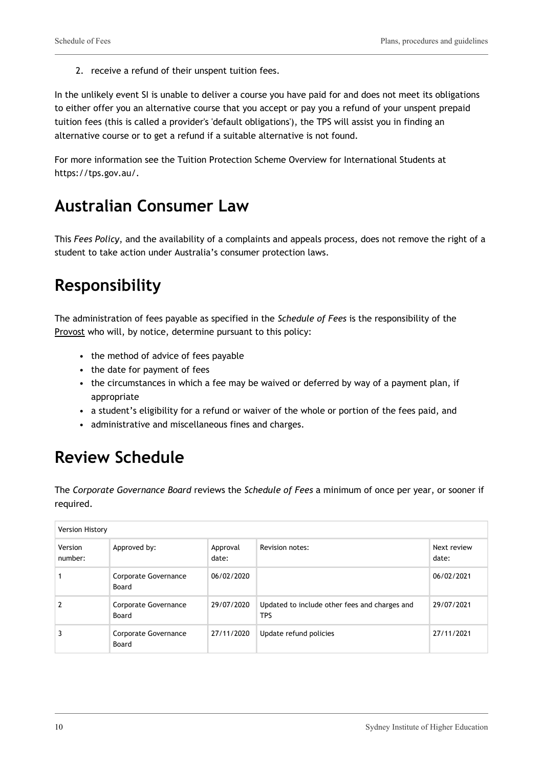2. receive a refund of their unspent tuition fees.

In the unlikely event SI is unable to deliver a course you have paid for and does not meet its obligations to either offer you an alternative course that you accept or pay you a refund of your unspent prepaid tuition fees (this is called a provider's 'default obligations'), the TPS will assist you in finding an alternative course or to get a refund if a suitable alternative is not found.

For more information see the Tuition Protection Scheme Overview for International Students at https://tps.gov.au/.

## **Australian Consumer Law**

This *Fees Policy*, and the availability of a complaints and appeals process, does not remove the right of a student to take action under Australia's consumer protection laws.

# **Responsibility**

The administration of fees payable as specified in the *Schedule of Fees* is the responsibility of the Provost who will, by notice, determine pursuant to this policy:

- the method of advice of fees payable
- the date for payment of fees
- the circumstances in which a fee may be waived or deferred by way of a payment plan, if appropriate
- a student's eligibility for a refund or waiver of the whole or portion of the fees paid, and
- administrative and miscellaneous fines and charges.

## **Review Schedule**

The *Corporate Governance Board* reviews the *Schedule of Fees* a minimum of once per year, or sooner if required.

| <b>Version History</b> |                               |                   |                                                             |                      |  |
|------------------------|-------------------------------|-------------------|-------------------------------------------------------------|----------------------|--|
| Version<br>number:     | Approved by:                  | Approval<br>date: | <b>Revision notes:</b>                                      | Next review<br>date: |  |
|                        | Corporate Governance<br>Board | 06/02/2020        |                                                             | 06/02/2021           |  |
|                        | Corporate Governance<br>Board | 29/07/2020        | Updated to include other fees and charges and<br><b>TPS</b> | 29/07/2021           |  |
|                        | Corporate Governance<br>Board | 27/11/2020        | Update refund policies                                      | 27/11/2021           |  |